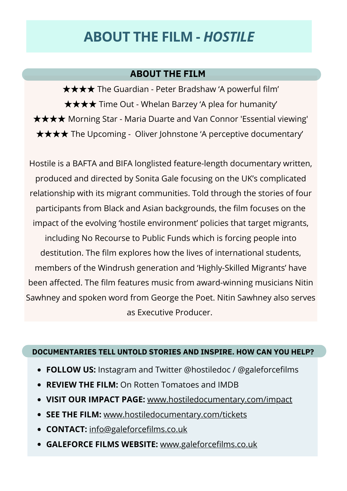## **ABOUT THE FILM -** *HOSTILE*

## **ABOUT THE FILM**

★★★★ The Guardian - Peter Bradshaw 'A powerful film' ★★★★ Time Out - Whelan Barzey 'A plea for humanity' ★★★★ Morning Star - Maria Duarte and Van Connor 'Essential viewing' ★★★★ The Upcoming - Oliver Johnstone 'A perceptive documentary'

Hostile is a BAFTA and BIFA longlisted feature-length documentary written, produced and directed by Sonita Gale focusing on the UK's complicated relationship with its migrant communities. Told through the stories of four participants from Black and Asian backgrounds, the film focuses on the impact of the evolving 'hostile environment' policies that target migrants, including No Recourse to Public Funds which is forcing people into destitution. The film explores how the lives of international students, members of the Windrush generation and 'Highly-Skilled Migrants' have been affected. The film features music from award-winning musicians Nitin Sawhney and spoken word from George the Poet. Nitin Sawhney also serves as Executive Producer.

## **DOCUMENTARIES TELL UNTOLD STORIES AND INSPIRE. HOW CAN YOU HELP?**

- **FOLLOW US:** Instagram and Twitter @hostiledoc / @galeforcefilms
- **REVIEW THE FILM:** On Rotten Tomatoes and IMDB
- **VISIT OUR IMPACT PAGE:** [www.hostiledocumentary.com/impact](http://www.hostiledocumentary.com/impact)
- **SEE THE FILM:** [www.hostiledocumentary.com/tickets](http://www.hostiledocumentary.com/tickets)
- **CONTACT:** [info@galeforcefilms.co.uk](mailto:info@galeforcefilms.co.uk)
- **GALEFORCE FILMS WEBSITE:** [www.galeforcefilms.co.uk](http://www.galeforcefilms.co.uk/)